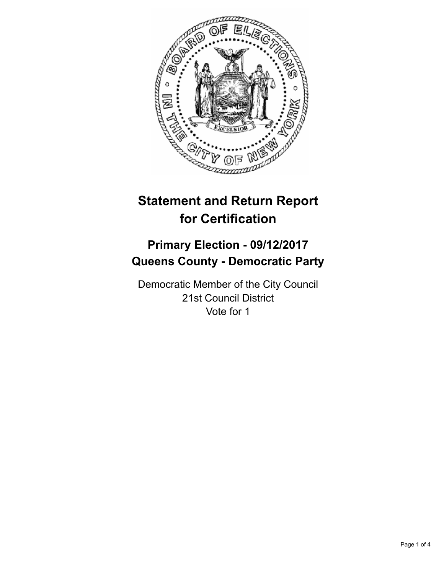

# **Statement and Return Report for Certification**

## **Primary Election - 09/12/2017 Queens County - Democratic Party**

Democratic Member of the City Council 21st Council District Vote for 1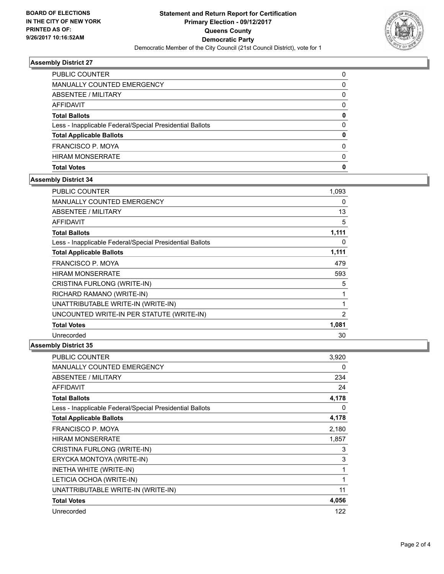

## **Assembly District 27**

| PUBLIC COUNTER                                           | 0        |
|----------------------------------------------------------|----------|
| <b>MANUALLY COUNTED EMERGENCY</b>                        | 0        |
| ABSENTEE / MILITARY                                      | 0        |
| <b>AFFIDAVIT</b>                                         | 0        |
| <b>Total Ballots</b>                                     | 0        |
| Less - Inapplicable Federal/Special Presidential Ballots | 0        |
| <b>Total Applicable Ballots</b>                          | 0        |
| FRANCISCO P. MOYA                                        | 0        |
| <b>HIRAM MONSERRATE</b>                                  | $\Omega$ |
| <b>Total Votes</b>                                       | 0        |

#### **Assembly District 34**

| <b>PUBLIC COUNTER</b>                                    | 1,093          |
|----------------------------------------------------------|----------------|
| <b>MANUALLY COUNTED EMERGENCY</b>                        | 0              |
| <b>ABSENTEE / MILITARY</b>                               | 13             |
| <b>AFFIDAVIT</b>                                         | 5              |
| <b>Total Ballots</b>                                     | 1,111          |
| Less - Inapplicable Federal/Special Presidential Ballots | 0              |
| <b>Total Applicable Ballots</b>                          | 1,111          |
| FRANCISCO P. MOYA                                        | 479            |
| <b>HIRAM MONSERRATE</b>                                  | 593            |
| CRISTINA FURLONG (WRITE-IN)                              | 5              |
| RICHARD RAMANO (WRITE-IN)                                | 1              |
| UNATTRIBUTABLE WRITE-IN (WRITE-IN)                       | 1              |
| UNCOUNTED WRITE-IN PER STATUTE (WRITE-IN)                | $\overline{2}$ |
| <b>Total Votes</b>                                       | 1,081          |
| Unrecorded                                               | 30             |

#### **Assembly District 35**

| <b>PUBLIC COUNTER</b>                                    | 3,920 |
|----------------------------------------------------------|-------|
| <b>MANUALLY COUNTED EMERGENCY</b>                        | 0     |
| <b>ABSENTEE / MILITARY</b>                               | 234   |
| <b>AFFIDAVIT</b>                                         | 24    |
| <b>Total Ballots</b>                                     | 4,178 |
| Less - Inapplicable Federal/Special Presidential Ballots | 0     |
| <b>Total Applicable Ballots</b>                          | 4,178 |
| <b>FRANCISCO P. MOYA</b>                                 | 2,180 |
| <b>HIRAM MONSERRATE</b>                                  | 1,857 |
| CRISTINA FURLONG (WRITE-IN)                              | 3     |
| ERYCKA MONTOYA (WRITE-IN)                                | 3     |
| INETHA WHITE (WRITE-IN)                                  | 1     |
| LETICIA OCHOA (WRITE-IN)                                 | 1     |
| UNATTRIBUTABLE WRITE-IN (WRITE-IN)                       | 11    |
| <b>Total Votes</b>                                       | 4,056 |
| Unrecorded                                               | 122   |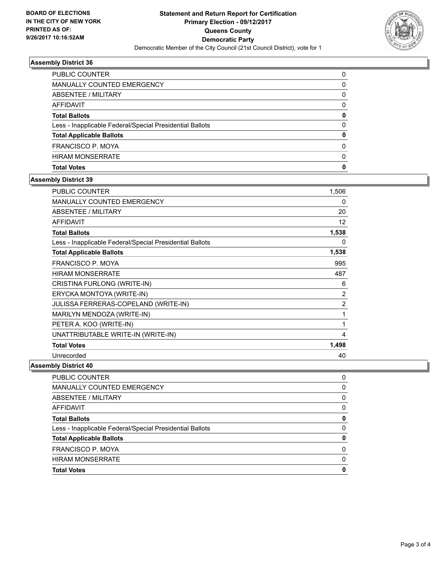

## **Assembly District 36**

| <b>PUBLIC COUNTER</b>                                    | 0        |
|----------------------------------------------------------|----------|
| MANUALLY COUNTED EMERGENCY                               | 0        |
| ABSENTEE / MILITARY                                      | 0        |
| AFFIDAVIT                                                | 0        |
| <b>Total Ballots</b>                                     | 0        |
| Less - Inapplicable Federal/Special Presidential Ballots | 0        |
| <b>Total Applicable Ballots</b>                          | 0        |
| FRANCISCO P. MOYA                                        | 0        |
| <b>HIRAM MONSERRATE</b>                                  | $\Omega$ |
| <b>Total Votes</b>                                       | 0        |

#### **Assembly District 39**

| <b>PUBLIC COUNTER</b>                                    | 1,506 |
|----------------------------------------------------------|-------|
| <b>MANUALLY COUNTED EMERGENCY</b>                        | 0     |
| ABSENTEE / MILITARY                                      | 20    |
| <b>AFFIDAVIT</b>                                         | 12    |
| <b>Total Ballots</b>                                     | 1,538 |
| Less - Inapplicable Federal/Special Presidential Ballots | 0     |
| <b>Total Applicable Ballots</b>                          | 1,538 |
| <b>FRANCISCO P. MOYA</b>                                 | 995   |
| <b>HIRAM MONSERRATE</b>                                  | 487   |
| CRISTINA FURLONG (WRITE-IN)                              | 6     |
| ERYCKA MONTOYA (WRITE-IN)                                | 2     |
| <b>JULISSA FERRERAS-COPELAND (WRITE-IN)</b>              | 2     |
| MARILYN MENDOZA (WRITE-IN)                               | 1     |
| PETER A. KOO (WRITE-IN)                                  | 1     |
| UNATTRIBUTABLE WRITE-IN (WRITE-IN)                       | 4     |
| <b>Total Votes</b>                                       | 1,498 |
| Unrecorded                                               | 40    |

## **Assembly District 40**

| PUBLIC COUNTER                                           | 0        |
|----------------------------------------------------------|----------|
| MANUALLY COUNTED EMERGENCY                               | 0        |
| ABSENTEE / MILITARY                                      | 0        |
| AFFIDAVIT                                                | 0        |
| <b>Total Ballots</b>                                     | 0        |
| Less - Inapplicable Federal/Special Presidential Ballots | $\Omega$ |
| <b>Total Applicable Ballots</b>                          | o        |
| <b>FRANCISCO P. MOYA</b>                                 | 0        |
| <b>HIRAM MONSERRATE</b>                                  | 0        |
| <b>Total Votes</b>                                       | 0        |